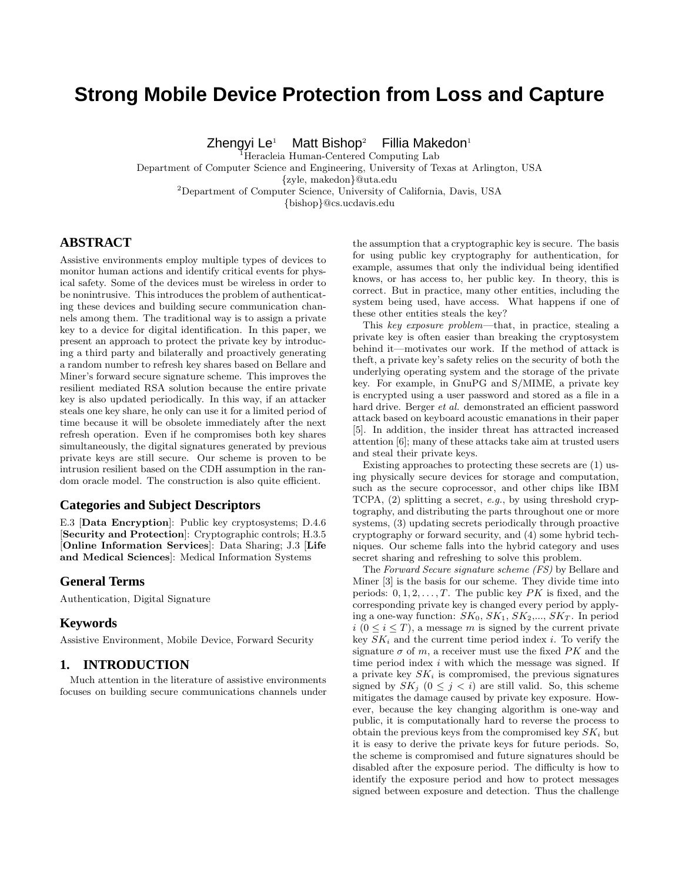# **Strong Mobile Device Protection from Loss and Capture**

Zhengyi Le<sup>1</sup> Matt Bishop<sup>2</sup> Fillia Makedon<sup>1</sup>

<sup>1</sup>Heracleia Human-Centered Computing Lab Department of Computer Science and Engineering, University of Texas at Arlington, USA {zyle, makedon}@uta.edu <sup>2</sup>Department of Computer Science, University of California, Davis, USA

{bishop}@cs.ucdavis.edu

## **ABSTRACT**

Assistive environments employ multiple types of devices to monitor human actions and identify critical events for physical safety. Some of the devices must be wireless in order to be nonintrusive. This introduces the problem of authenticating these devices and building secure communication channels among them. The traditional way is to assign a private key to a device for digital identification. In this paper, we present an approach to protect the private key by introducing a third party and bilaterally and proactively generating a random number to refresh key shares based on Bellare and Miner's forward secure signature scheme. This improves the resilient mediated RSA solution because the entire private key is also updated periodically. In this way, if an attacker steals one key share, he only can use it for a limited period of time because it will be obsolete immediately after the next refresh operation. Even if he compromises both key shares simultaneously, the digital signatures generated by previous private keys are still secure. Our scheme is proven to be intrusion resilient based on the CDH assumption in the random oracle model. The construction is also quite efficient.

## **Categories and Subject Descriptors**

E.3 [Data Encryption]: Public key cryptosystems; D.4.6 [Security and Protection]: Cryptographic controls; H.3.5 [Online Information Services]: Data Sharing; J.3 [Life and Medical Sciences]: Medical Information Systems

## **General Terms**

Authentication, Digital Signature

## **Keywords**

Assistive Environment, Mobile Device, Forward Security

## **1. INTRODUCTION**

Much attention in the literature of assistive environments focuses on building secure communications channels under the assumption that a cryptographic key is secure. The basis for using public key cryptography for authentication, for example, assumes that only the individual being identified knows, or has access to, her public key. In theory, this is correct. But in practice, many other entities, including the system being used, have access. What happens if one of these other entities steals the key?

This key exposure problem—that, in practice, stealing a private key is often easier than breaking the cryptosystem behind it—motivates our work. If the method of attack is theft, a private key's safety relies on the security of both the underlying operating system and the storage of the private key. For example, in GnuPG and S/MIME, a private key is encrypted using a user password and stored as a file in a hard drive. Berger et al. demonstrated an efficient password attack based on keyboard acoustic emanations in their paper [5]. In addition, the insider threat has attracted increased attention [6]; many of these attacks take aim at trusted users and steal their private keys.

Existing approaches to protecting these secrets are (1) using physically secure devices for storage and computation, such as the secure coprocessor, and other chips like IBM TCPA, (2) splitting a secret, e.g., by using threshold cryptography, and distributing the parts throughout one or more systems, (3) updating secrets periodically through proactive cryptography or forward security, and (4) some hybrid techniques. Our scheme falls into the hybrid category and uses secret sharing and refreshing to solve this problem.

The Forward Secure signature scheme (FS) by Bellare and Miner [3] is the basis for our scheme. They divide time into periods:  $0, 1, 2, \ldots, T$ . The public key PK is fixed, and the corresponding private key is changed every period by applying a one-way function:  $SK_0, SK_1, SK_2, ..., SK_T$ . In period  $i (0 \leq i \leq T)$ , a message m is signed by the current private key  $SK_i$  and the current time period index i. To verify the signature  $\sigma$  of m, a receiver must use the fixed PK and the time period index i with which the message was signed. If a private key  $SK_i$  is compromised, the previous signatures signed by  $SK_j$   $(0 \leq j \leq i)$  are still valid. So, this scheme mitigates the damage caused by private key exposure. However, because the key changing algorithm is one-way and public, it is computationally hard to reverse the process to obtain the previous keys from the compromised key  $SK_i$  but it is easy to derive the private keys for future periods. So, the scheme is compromised and future signatures should be disabled after the exposure period. The difficulty is how to identify the exposure period and how to protect messages signed between exposure and detection. Thus the challenge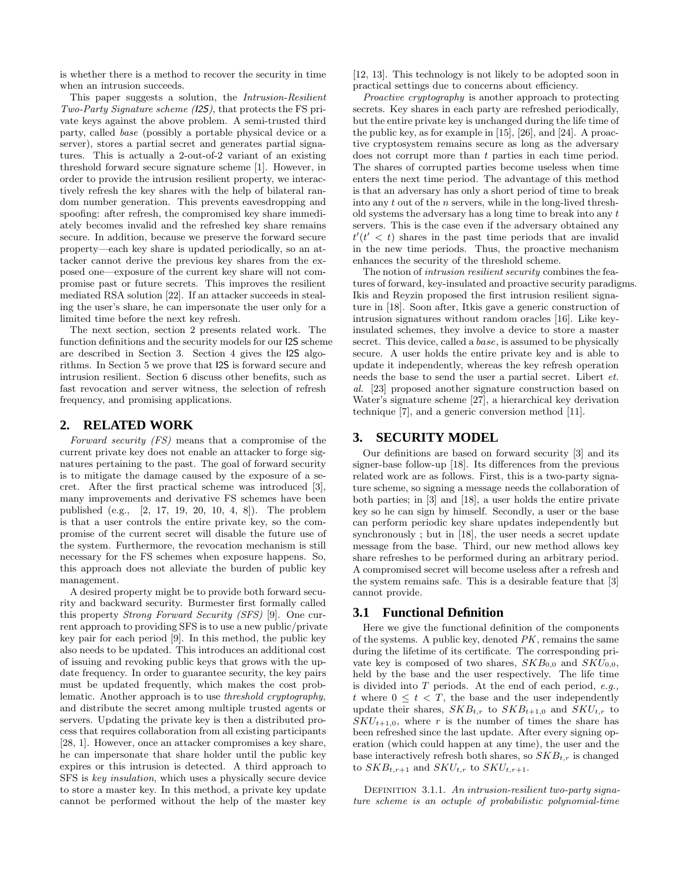is whether there is a method to recover the security in time when an intrusion succeeds.

This paper suggests a solution, the Intrusion-Resilient Two-Party Signature scheme (I2S), that protects the FS private keys against the above problem. A semi-trusted third party, called base (possibly a portable physical device or a server), stores a partial secret and generates partial signatures. This is actually a 2-out-of-2 variant of an existing threshold forward secure signature scheme [1]. However, in order to provide the intrusion resilient property, we interactively refresh the key shares with the help of bilateral random number generation. This prevents eavesdropping and spoofing: after refresh, the compromised key share immediately becomes invalid and the refreshed key share remains secure. In addition, because we preserve the forward secure property—each key share is updated periodically, so an attacker cannot derive the previous key shares from the exposed one—exposure of the current key share will not compromise past or future secrets. This improves the resilient mediated RSA solution [22]. If an attacker succeeds in stealing the user's share, he can impersonate the user only for a limited time before the next key refresh.

The next section, section 2 presents related work. The function definitions and the security models for our I2S scheme are described in Section 3. Section 4 gives the I2S algorithms. In Section 5 we prove that I2S is forward secure and intrusion resilient. Section 6 discuss other benefits, such as fast revocation and server witness, the selection of refresh frequency, and promising applications.

#### **2. RELATED WORK**

Forward security (FS) means that a compromise of the current private key does not enable an attacker to forge signatures pertaining to the past. The goal of forward security is to mitigate the damage caused by the exposure of a secret. After the first practical scheme was introduced [3], many improvements and derivative FS schemes have been published (e.g., [2, 17, 19, 20, 10, 4, 8]). The problem is that a user controls the entire private key, so the compromise of the current secret will disable the future use of the system. Furthermore, the revocation mechanism is still necessary for the FS schemes when exposure happens. So, this approach does not alleviate the burden of public key management.

A desired property might be to provide both forward security and backward security. Burmester first formally called this property Strong Forward Security (SFS) [9]. One current approach to providing SFS is to use a new public/private key pair for each period [9]. In this method, the public key also needs to be updated. This introduces an additional cost of issuing and revoking public keys that grows with the update frequency. In order to guarantee security, the key pairs must be updated frequently, which makes the cost problematic. Another approach is to use threshold cryptography, and distribute the secret among multiple trusted agents or servers. Updating the private key is then a distributed process that requires collaboration from all existing participants [28, 1]. However, once an attacker compromises a key share, he can impersonate that share holder until the public key expires or this intrusion is detected. A third approach to SFS is key insulation, which uses a physically secure device to store a master key. In this method, a private key update cannot be performed without the help of the master key

[12, 13]. This technology is not likely to be adopted soon in practical settings due to concerns about efficiency.

Proactive cryptography is another approach to protecting secrets. Key shares in each party are refreshed periodically, but the entire private key is unchanged during the life time of the public key, as for example in [15], [26], and [24]. A proactive cryptosystem remains secure as long as the adversary does not corrupt more than t parties in each time period. The shares of corrupted parties become useless when time enters the next time period. The advantage of this method is that an adversary has only a short period of time to break into any t out of the n servers, while in the long-lived threshold systems the adversary has a long time to break into any t servers. This is the case even if the adversary obtained any  $t'(t' < t)$  shares in the past time periods that are invalid in the new time periods. Thus, the proactive mechanism enhances the security of the threshold scheme.

The notion of *intrusion resilient security* combines the features of forward, key-insulated and proactive security paradigms. Ikis and Reyzin proposed the first intrusion resilient signature in [18]. Soon after, Itkis gave a generic construction of intrusion signatures without random oracles [16]. Like keyinsulated schemes, they involve a device to store a master secret. This device, called a *base*, is assumed to be physically secure. A user holds the entire private key and is able to update it independently, whereas the key refresh operation needs the base to send the user a partial secret. Libert et. al. [23] proposed another signature construction based on Water's signature scheme [27], a hierarchical key derivation technique [7], and a generic conversion method [11].

#### **3. SECURITY MODEL**

Our definitions are based on forward security [3] and its signer-base follow-up [18]. Its differences from the previous related work are as follows. First, this is a two-party signature scheme, so signing a message needs the collaboration of both parties; in [3] and [18], a user holds the entire private key so he can sign by himself. Secondly, a user or the base can perform periodic key share updates independently but synchronously ; but in [18], the user needs a secret update message from the base. Third, our new method allows key share refreshes to be performed during an arbitrary period. A compromised secret will become useless after a refresh and the system remains safe. This is a desirable feature that [3] cannot provide.

#### **3.1 Functional Definition**

Here we give the functional definition of the components of the systems. A public key, denoted  $PK$ , remains the same during the lifetime of its certificate. The corresponding private key is composed of two shares,  $SKB_{0,0}$  and  $SKU_{0,0}$ , held by the base and the user respectively. The life time is divided into  $T$  periods. At the end of each period,  $e.g.,$ t where  $0 \leq t < T$ , the base and the user independently update their shares,  $SKB_{t,r}$  to  $SKB_{t+1,0}$  and  $SKU_{t,r}$  to  $SKU_{t+1,0}$ , where r is the number of times the share has been refreshed since the last update. After every signing operation (which could happen at any time), the user and the base interactively refresh both shares, so  $SKB_{t,r}$  is changed to  $SKB_{t,r+1}$  and  $SKU_{t,r}$  to  $SKU_{t,r+1}$ .

DEFINITION 3.1.1. An intrusion-resilient two-party signature scheme is an octuple of probabilistic polynomial-time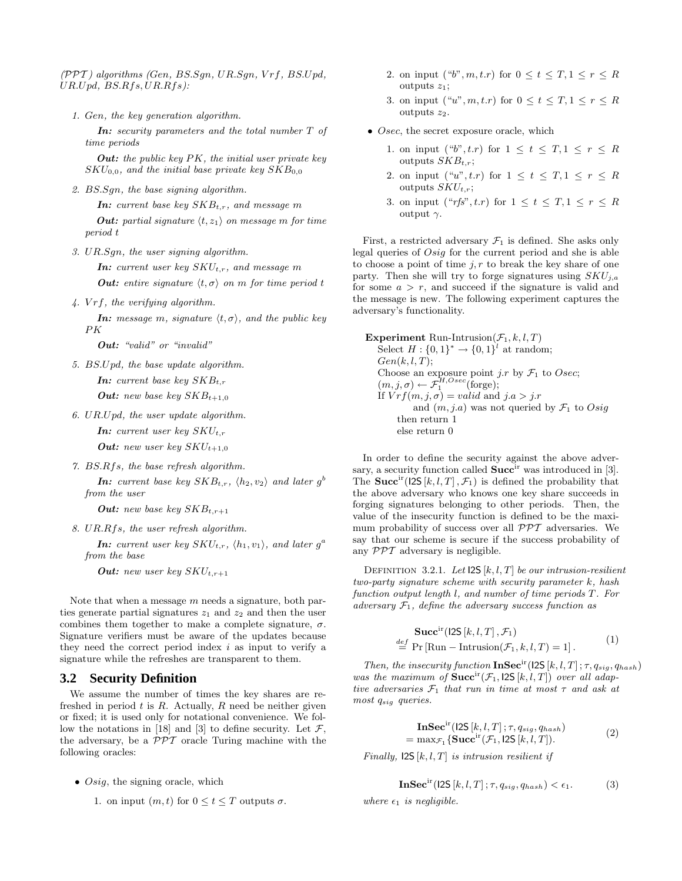(PPT ) algorithms (Gen, BS.Sgn, UR.Sgn, V rf, BS.U pd,  $UR.Upd, BSAfs, UR.Rfs$ ):

1. Gen, the key generation algorithm.

**In:** security parameters and the total number  $T$  of time periods

**Out:** the public key  $PK$ , the initial user private key  $SKU_{0,0}$ , and the initial base private key  $SKB_{0,0}$ 

2. BS.Sgn, the base signing algorithm.

**In:** current base key  $SKB_{t,r}$ , and message m **Out:** partial signature  $\langle t, z_1 \rangle$  on message m for time period t

3. UR.Sgn, the user signing algorithm.

**In:** current user key  $SKU_{t,r}$ , and message m

**Out:** entire signature  $\langle t, \sigma \rangle$  on m for time period t

4. V rf, the verifying algorithm.

**In:** message m, signature  $\langle t, \sigma \rangle$ , and the public key  $PK$ 

Out: "valid" or "invalid"

5. BS.U pd, the base update algorithm.

**In:** current base key  $SKB_{t,r}$ 

**Out:** new base key  $SKB_{t+1,0}$ 

6. UR.U pd, the user update algorithm.

**In:** current user key  $SKU_{t,r}$ 

**Out:** new user key  $SKU_{t+1,0}$ 

7. BS.Rfs, the base refresh algorithm. **In:** current base key  $SKB_{t,r}$ ,  $\langle h_2, v_2 \rangle$  and later  $g^b$ from the user

**Out:** new base key  $SKB_{t,r+1}$ 

8. UR.Rfs, the user refresh algorithm.

**In:** current user key  $SKU_{t,r}$ ,  $\langle h_1, v_1 \rangle$ , and later  $g^a$ from the base

**Out:** new user key  $SKU_{t,r+1}$ 

Note that when a message  $m$  needs a signature, both parties generate partial signatures  $z_1$  and  $z_2$  and then the user combines them together to make a complete signature,  $\sigma$ . Signature verifiers must be aware of the updates because they need the correct period index  $i$  as input to verify a signature while the refreshes are transparent to them.

## **3.2 Security Definition**

We assume the number of times the key shares are refreshed in period  $t$  is  $R$ . Actually,  $R$  need be neither given or fixed; it is used only for notational convenience. We follow the notations in [18] and [3] to define security. Let  $\mathcal{F}$ , the adversary, be a  $\mathcal{PPT}$  oracle Turing machine with the following oracles:

- $\bullet$  *Osig*, the signing oracle, which
	- 1. on input  $(m, t)$  for  $0 \le t \le T$  outputs  $\sigma$ .
- 2. on input  $({}^\omega b^\nu, m, t.r)$  for  $0 \le t \le T, 1 \le r \le R$ outputs  $z_1$ :
- 3. on input  $({}^\omega u^v, m, t.r)$  for  $0 \le t \le T, 1 \le r \le R$ outputs z2.
- Osec, the secret exposure oracle, which
	- 1. on input  $({}^\omega b^\nu, t.r)$  for  $1 \leq t \leq T, 1 \leq r \leq R$ outputs  $SKB_{t,r}$ ;
	- 2. on input  $({}^{\omega}u^{\nu}, t.r)$  for  $1 \leq t \leq T, 1 \leq r \leq R$ outputs  $SKU_{t,r}$ ;
	- 3. on input  $({}^\omega rfs^\nu, t.r)$  for  $1 \leq t \leq T, 1 \leq r \leq R$ output  $\gamma$ .

First, a restricted adversary  $\mathcal{F}_1$  is defined. She asks only legal queries of Osig for the current period and she is able to choose a point of time  $j, r$  to break the key share of one party. Then she will try to forge signatures using  $SKU_{i,a}$ for some  $a > r$ , and succeed if the signature is valid and the message is new. The following experiment captures the adversary's functionality.

Experiment Run-Intrusion( $\mathcal{F}_1, k, l, T$ ) Select  $H: \{0,1\}^* \to \{0,1\}^l$  at random;  $Gen(k, l, T);$ Choose an exposure point j.r by  $\mathcal{F}_1$  to Osec;  $(m, j, \sigma) \leftarrow \mathcal{F}_1^{H, Osec}(\text{force});$ If  $Vrf(m, j, \sigma) = valid$  and  $j.a > j.r$ and  $(m, j.a)$  was not queried by  $\mathcal{F}_1$  to  $Osig$ then return 1 else return 0

In order to define the security against the above adversary, a security function called  $Succ<sup>ir</sup>$  was introduced in [3]. The **Succ**<sup>ir</sup>( $|2\mathsf{S}[k,l,T], \mathcal{F}_1$ ) is defined the probability that the above adversary who knows one key share succeeds in forging signatures belonging to other periods. Then, the value of the insecurity function is defined to be the maximum probability of success over all PPT adversaries. We say that our scheme is secure if the success probability of any PPT adversary is negligible.

DEFINITION 3.2.1. Let  $|2S[k, l, T]|$  be our intrusion-resilient two-party signature scheme with security parameter k, hash function output length l, and number of time periods T. For adversary  $\mathcal{F}_1$ , define the adversary success function as

$$
\begin{array}{c}\n\textbf{Succ}^{\text{ir}}(12S[k,l,T], \mathcal{F}_1) \\
\stackrel{def}{=} \Pr\left[\text{Run} - \text{Intrusion}(\mathcal{F}_1, k, l, T) = 1\right].\n\end{array} \tag{1}
$$

Then, the insecurity function  $\text{InSec}^{\text{ir}}(12S[k, l, T]; \tau, q_{sig}, q_{hash})$ was the maximum of  $\text{Succ}^{\text{ir}}(\mathcal{F}_1, 12\text{S}[k, l, T])$  over all adaptive adversaries  $\mathcal{F}_1$  that run in time at most  $\tau$  and ask at most  $q_{sig}$  queries.

$$
\mathbf{InSec}^{\text{ir}}(\text{12S}[k,l,T];\tau,q_{sig},q_{hash})
$$
  
= max $\tau_1$  {Succ}^{\text{ir}}(\mathcal{F}\_1,\text{12S}[k,l,T]). \t(2)

Finally,  $|2S[k, l, T]|$  is intrusion resilient if

$$
\mathbf{InSec}^{\text{ir}}(\text{12S}[k,l,T];\tau,q_{sig},q_{hash}) < \epsilon_1. \tag{3}
$$

where  $\epsilon_1$  is negligible.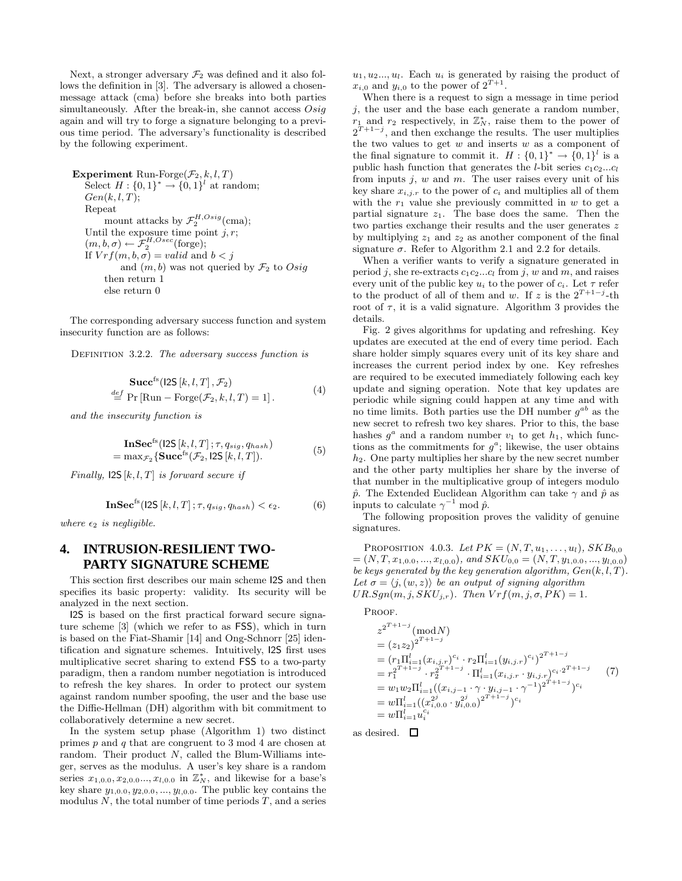Next, a stronger adversary  $\mathcal{F}_2$  was defined and it also follows the definition in [3]. The adversary is allowed a chosenmessage attack (cma) before she breaks into both parties simultaneously. After the break-in, she cannot access  $Osiq$ again and will try to forge a signature belonging to a previous time period. The adversary's functionality is described by the following experiment.

Experiment Run-Forge $(\mathcal{F}_2, k, l, T)$ Select  $H: \{0,1\}^* \to \{0,1\}^l$  at random;  $Gen(k, l, T);$ Repeat mount attacks by  $\mathcal{F}_2^{H, Osig}(\text{cma})$ ; Until the exposure time point  $j, r$ ;  $(m, b, \sigma) \leftarrow \mathcal{F}_2^{H, Osec}(\text{forge});$ If  $Vrf(m, b, \sigma) = valid$  and  $b < j$ and  $(m, b)$  was not queried by  $\mathcal{F}_2$  to  $Osig$ then return 1 else return 0

The corresponding adversary success function and system insecurity function are as follows:

DEFINITION 3.2.2. The adversary success function is

$$
\begin{aligned} \mathbf{Succ}^{\text{fs}}\left(\text{12S}[k,l,T],\mathcal{F}_2\right) \\ \stackrel{def}{=} \Pr\left[\text{Run} - \text{Forge}(\mathcal{F}_2, k,l,T) = 1\right]. \end{aligned} \tag{4}
$$

and the insecurity function is

$$
\mathbf{InSec}^{\text{fs}}(\text{12S}[k,l,T];\tau,q_{sig},q_{hash})
$$
  
= 
$$
\max_{\mathcal{F}_2} \{ \mathbf{Succ}^{\text{fs}}(\mathcal{F}_2, \text{12S}[k,l,T]).
$$
 (5)

Finally,  $|2S[k, l, T]|$  is forward secure if

$$
\mathbf{InSec}^{\text{fs}}(\text{12S}[k,l,T];\tau,q_{sig},q_{hash}) < \epsilon_2. \tag{6}
$$

where  $\epsilon_2$  is negligible.

# **4. INTRUSION-RESILIENT TWO-PARTY SIGNATURE SCHEME**

This section first describes our main scheme I2S and then specifies its basic property: validity. Its security will be analyzed in the next section.

I2S is based on the first practical forward secure signature scheme [3] (which we refer to as FSS), which in turn is based on the Fiat-Shamir [14] and Ong-Schnorr [25] identification and signature schemes. Intuitively, I2S first uses multiplicative secret sharing to extend FSS to a two-party paradigm, then a random number negotiation is introduced to refresh the key shares. In order to protect our system against random number spoofing, the user and the base use the Diffie-Hellman (DH) algorithm with bit commitment to collaboratively determine a new secret.

In the system setup phase (Algorithm 1) two distinct primes p and q that are congruent to 3 mod 4 are chosen at random. Their product  $N$ , called the Blum-Williams integer, serves as the modulus. A user's key share is a random series  $x_{1,0.0}, x_{2,0.0},..., x_{l,0.0}$  in  $\mathbb{Z}_N^*$ , and likewise for a base's key share  $y_{1,0.0}, y_{2,0.0}, \ldots, y_{l,0.0}$ . The public key contains the modulus  $N$ , the total number of time periods  $T$ , and a series  $u_1, u_2, \ldots, u_l$ . Each  $u_i$  is generated by raising the product of  $x_{i,0}$  and  $y_{i,0}$  to the power of  $2^{T+1}$ .

When there is a request to sign a message in time period  $j$ , the user and the base each generate a random number,  $r_1$  and  $r_2$  respectively, in  $\mathbb{Z}_N^*$ , raise them to the power of  $2^{T+1-j}$ , and then exchange the results. The user multiplies the two values to get  $w$  and inserts  $w$  as a component of the final signature to commit it.  $H: \{0,1\}^* \to \{0,1\}^l$  is a public hash function that generates the *l*-bit series  $c_1c_2...c_l$ from inputs  $j, w$  and  $m$ . The user raises every unit of his key share  $x_{i,j,r}$  to the power of  $c_i$  and multiplies all of them with the  $r_1$  value she previously committed in w to get a partial signature  $z_1$ . The base does the same. Then the two parties exchange their results and the user generates z by multiplying  $z_1$  and  $z_2$  as another component of the final signature  $\sigma$ . Refer to Algorithm 2.1 and 2.2 for details.

When a verifier wants to verify a signature generated in period j, she re-extracts  $c_1c_2...c_l$  from j, w and m, and raises every unit of the public key  $u_i$  to the power of  $c_i$ . Let  $\tau$  refer to the product of all of them and w. If z is the  $2^{T+1-j}$ -th root of  $\tau$ , it is a valid signature. Algorithm 3 provides the details.

Fig. 2 gives algorithms for updating and refreshing. Key updates are executed at the end of every time period. Each share holder simply squares every unit of its key share and increases the current period index by one. Key refreshes are required to be executed immediately following each key update and signing operation. Note that key updates are periodic while signing could happen at any time and with no time limits. Both parties use the DH number  $g^{ab}$  as the new secret to refresh two key shares. Prior to this, the base hashes  $g^a$  and a random number  $v_1$  to get  $h_1$ , which functions as the commitments for  $g^a$ ; likewise, the user obtains  $h_2$ . One party multiplies her share by the new secret number and the other party multiplies her share by the inverse of that number in the multiplicative group of integers modulo  $\hat{p}$ . The Extended Euclidean Algorithm can take  $\gamma$  and  $\hat{p}$  as inputs to calculate  $\gamma^{-1}$  mod  $\hat{p}$ .

The following proposition proves the validity of genuine signatures.

PROPOSITION 4.0.3. Let  $PK = (N, T, u_1, \ldots, u_l)$ ,  $SKB_{0,0}$  $=(N, T, x_{1,0.0}, ..., x_{l,0.0}),$  and  $SKU_{0,0} = (N, T, y_{1,0.0}, ..., y_{l,0.0})$ be keys generated by the key generation algorithm,  $Gen(k, l, T)$ . Let  $\sigma = \langle j, (w, z) \rangle$  be an output of signing algorithm  $UR.Sgn(m, j, SKU_{j,r})$ . Then  $Vrf(m, j, \sigma, PK) = 1$ .

PROOF.  
\n
$$
z^{2^{T+1-j}} \text{(mod } N)
$$
\n
$$
= (z_1 z_2)^{2^{T+1-j}}
$$
\n
$$
= (r_1 \Pi_{i=1}^l (x_{i,j,r})^{c_i} \cdot r_2 \Pi_{i=1}^l (y_{i,j,r})^{c_i})^{2^{T+1-j}}
$$
\n
$$
= r_1^{2^{T+1-j}} \cdot r_2^{2^{T+1-j}} \cdot \Pi_{i=1}^l (x_{i,j,r} \cdot y_{i,j,r})^{c_i \cdot 2^{T+1-j}} \qquad (7)
$$
\n
$$
= w_1 w_2 \Pi_{i=1}^l ((x_{i,j-1} \cdot \gamma \cdot y_{i,j-1} \cdot \gamma^{-1})^{2^{T+1-j}})^{c_i}
$$
\n
$$
= w \Pi_{i=1}^l (x_{i,0.0}^{2^j} \cdot y_{i,0.0}^{2^{T+1-j}})^{c_i}
$$
\n
$$
= w \Pi_{i=1}^l u_i^{c_i}
$$

as desired.  $\square$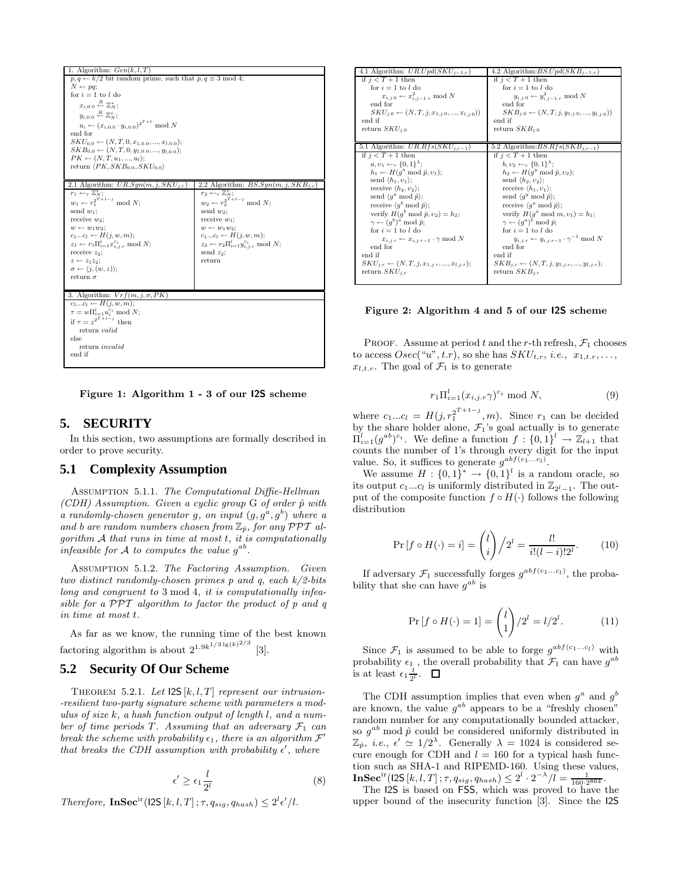| 1. Algorithm: $Gen(k, l, T)$                                               |                                                                      |  |
|----------------------------------------------------------------------------|----------------------------------------------------------------------|--|
| $p, q \leftarrow k/2$ bit random prime, such that $p, q \equiv 3 \mod 4$ ; |                                                                      |  |
| $N \leftarrow pq$                                                          |                                                                      |  |
| for $i = 1$ to l do                                                        |                                                                      |  |
| $x_{i,0.0} \stackrel{R}{\leftarrow} \mathbb{Z}_N^*$                        |                                                                      |  |
|                                                                            |                                                                      |  |
| $y_{i,0,0} \stackrel{R}{\leftarrow} \mathbb{Z}_N^*$                        |                                                                      |  |
| $u_i \leftarrow (x_{i,0.0} \cdot y_{i,0.0})^{2^{T+1}} \mod N$              |                                                                      |  |
| end for                                                                    |                                                                      |  |
| $SKU_{0.0} \leftarrow (N, T, 0, x_{1.0.0}, , x_{l.0.0});$                  |                                                                      |  |
| $SKB_{0,0} \leftarrow (N, T, 0, y_{1,0.0}, , y_{l,0.0});$                  |                                                                      |  |
| $PK \leftarrow (N, T, u_1, , u_l);$                                        |                                                                      |  |
| return $\langle PK, SKB_{0.0}, SKU_{0.0} \rangle$                          |                                                                      |  |
|                                                                            |                                                                      |  |
| 2.1 Algorithm: $UR.Sgn(m, j, SKU_{i,r})$                                   | 2.2 Algorithm: $BS(Sgn(m, j, SKB_{i,r}))$                            |  |
| $r_1 \leftarrow_r \mathbb{Z}_N^*$                                          | $r_2 \leftarrow_r \mathbb{Z}_N^*$ ;                                  |  |
| $w_1 \leftarrow r_1^{2^{T+1-j}} \mod N;$                                   | $w_2 \leftarrow r_2^{2^{T+1-j}} \mod N;$                             |  |
| send $w_1$ ;                                                               | send $w_2$ :                                                         |  |
| receive $w_2$ ;                                                            | receive $w_1$ ;                                                      |  |
| $w \leftarrow w_1 w_2$                                                     | $w \leftarrow w_1w_2;$                                               |  |
| $c_1c_l \leftarrow H(j, w, m);$                                            | $c_1c_l \leftarrow H(j, w, m);$                                      |  |
|                                                                            |                                                                      |  |
| $z_1 \leftarrow r_1 \prod_{i=1}^l x_{i,j,r}^{c_i} \mod N;$                 | $z_2 \leftarrow r_2 \prod_{i=1}^{l} y_{i,j,r}^{c_i} \text{ mod } N;$ |  |
| receive $z_2$ :                                                            | send $z_2$ ;                                                         |  |
| $z \leftarrow z_1 z_2$ ;                                                   | return                                                               |  |
| $\sigma \leftarrow \langle j, (w, z) \rangle;$                             |                                                                      |  |
| return $\sigma$                                                            |                                                                      |  |
|                                                                            |                                                                      |  |
| 3. Algorithm: $Vrf(m, j, \sigma, PK)$                                      |                                                                      |  |
| $c_1c_l \leftarrow H(j, w, m);$                                            |                                                                      |  |
| $\tau = w \prod_{i=1}^{l} u_i^{c_i} \mod N;$                               |                                                                      |  |
| if $\tau = z^{2\overline{T}+1-\overline{j}}$ then                          |                                                                      |  |
| return <i>valid</i>                                                        |                                                                      |  |
| else                                                                       |                                                                      |  |
| return <i>invalid</i>                                                      |                                                                      |  |
| end if                                                                     |                                                                      |  |
|                                                                            |                                                                      |  |
|                                                                            |                                                                      |  |

Figure 1: Algorithm 1 - 3 of our I2S scheme

#### **5. SECURITY**

In this section, two assumptions are formally described in order to prove security.

## **5.1 Complexity Assumption**

Assumption 5.1.1. The Computational Diffie-Hellman  $(CDH)$  Assumption. Given a cyclic group G of order  $\hat{p}$  with a randomly-chosen generator g, on input  $(g, g^a, g^b)$  where a and b are random numbers chosen from  $\mathbb{Z}_{p}$ , for any PPT al $gorithm A that runs in time at most t, it is computationally$ infeasible for A to computes the value  $g^{ab}$ .

Assumption 5.1.2. The Factoring Assumption. Given two distinct randomly-chosen primes p and q, each k/2-bits long and congruent to 3 mod 4, it is computationally infeasible for a PPT algorithm to factor the product of p and q in time at most t.

As far as we know, the running time of the best known factoring algorithm is about  $2^{1.9k^{1/3}\lg(k)^{2/3}}$ [3].

## **5.2 Security Of Our Scheme**

THEOREM 5.2.1. Let  $|2S[k, l, T]|$  represent our intrusion--resilient two-party signature scheme with parameters a modulus of size  $k$ , a hash function output of length  $l$ , and a number of time periods T. Assuming that an adversary  $\mathcal{F}_1$  can break the scheme with probability  $\epsilon_1$ , there is an algorithm  $\mathcal{F}'$ that breaks the CDH assumption with probability  $\epsilon'$ , where

$$
\epsilon' \ge \epsilon_1 \frac{l}{2^l} \tag{8}
$$

Therefore,  $\textbf{InSec}^{\text{ir}}(2S[k, l, T]; \tau, q_{sig}, q_{hash}) \leq 2^l \epsilon'/l.$ 

| 4.1 Algorithm: $UR.Upd(SKU_{j-1,r})$                      | 4.2 Algorithm: $BS.Upd(SKB_{i-1,r})$                        |
|-----------------------------------------------------------|-------------------------------------------------------------|
| if $i < T + 1$ then                                       | if $i < T + 1$ then                                         |
| for $i = 1$ to l do                                       | for $i = 1$ to l do                                         |
| $x_{i,j,0} \leftarrow x_{i,j-1,r}^2 \mod N$               | $y_{i,j,0} \leftarrow y_{i,j-1,r}^2 \mod N$                 |
| end for                                                   | end for                                                     |
| $SKU_{i,0} \leftarrow (N, T, j, x_{1,i,0}, , x_{l,i,0}))$ | $SKB_{i,0} \leftarrow (N, T, j, y_{1,i,0}, , y_{l,i,0}))$   |
| end if                                                    | end if                                                      |
| return $SKU_{i,0}$                                        | return $SKB_{i,0}$                                          |
|                                                           |                                                             |
| 5.1 Algorithm: $UR.Rfs(SKU_{i,r-1})$                      | 5.2 Algorithm: $BS. Rfs(SKB_{i,r-1})$                       |
| if $i < T + 1$ then                                       | if $i < T + 1$ then                                         |
| $a, v_1 \leftarrow_r \{0, 1\}^{\lambda}$                  | $b, v_2 \leftarrow_r \{0, 1\}^{\lambda}$                    |
| $h_1 \leftarrow H(q^a \bmod \hat{p}, v_1);$               | $h_2 \leftarrow H(q^y \mod \hat{p}, v_2);$                  |
| send $\langle h_1, v_1 \rangle$ ;                         | send $\langle h_2, v_2 \rangle$ :                           |
| receive $(h_2, v_2)$ ;                                    | receive $\langle h_1, v_1 \rangle$ :                        |
| send $\langle q^a \bmod \hat{p} \rangle$ ;                | send $\langle q^y \bmod \hat{p} \rangle$ ;                  |
| receive $\langle q^b \bmod \hat{p} \rangle$ ;             | receive $\langle g^a \bmod{\hat{p}} \rangle$ ;              |
| verify $H(g^b \mod \hat{p}, v_2) = h_2$ ;                 | verify $H(q^a \mod m, v_1) = h_1$ ;                         |
| $\gamma \leftarrow (q^b)^a \bmod \hat{p}$ ;               | $\gamma \leftarrow (q^a)^b \bmod \hat{p};$                  |
| for $i = 1$ to l do                                       | for $i = 1$ to l do                                         |
| $x_{i,j,r} \leftarrow x_{i,j,r-1} \cdot \gamma \mod N$    | $y_{i,j,r} \leftarrow y_{i,j,r-1} \cdot \gamma^{-1} \mod N$ |
| end for                                                   | end for                                                     |
| end if                                                    | end if                                                      |
| $SKU_{i,r} \leftarrow (N, T, j, x_{1,i,r}, , x_{l,i,r});$ | $SKB_{i,r} \leftarrow (N, T, j, y_{1,i,r}, , y_{l,i,r});$   |
| return $SKU_{i,r}$                                        | return $SKB_{i,r}$                                          |
|                                                           |                                                             |

Figure 2: Algorithm 4 and 5 of our I2S scheme

PROOF. Assume at period t and the r-th refresh,  $\mathcal{F}_1$  chooses to access  $Osec("u", t.r)$ , so she has  $SKU_{t,r}, i.e., x_{1,t,r}, \ldots$ ,  $x_{l,t,r}$ . The goal of  $\mathcal{F}_1$  is to generate

$$
r_1 \Pi_{i=1}^l (x_{i,j,r} \gamma)^{c_i} \bmod N,
$$
\n(9)

where  $c_1...c_l = H(j, r_1^{2^{T+1-j}}, m)$ . Since  $r_1$  can be decided by the share holder alone,  $\mathcal{F}_1$ 's goal actually is to generate  $\prod_{i=1}^{l} (g^{ab})^{c_i}$ . We define a function  $f: \{0,1\}^l \to \mathbb{Z}_{l+1}$  that counts the number of 1's through every digit for the input value. So, it suffices to generate  $g^{abf(c_1...c_l)}$ .

We assume  $H: \{0,1\}^* \to \{0,1\}^l$  is a random oracle, so its output  $c_1...c_l$  is uniformly distributed in  $\mathbb{Z}_{2^l-1}$ . The output of the composite function  $f \circ H(\cdot)$  follows the following distribution

$$
\Pr[f \circ H(\cdot) = i] = \binom{l}{i} / 2^{l} = \frac{l!}{i!(l-i)!2^{l}}.
$$
 (10)

If adversary  $\mathcal{F}_1$  successfully forges  $g^{abf(c_1...c_l)}$ , the probability that she can have  $g^{ab}$  is

$$
\Pr[f \circ H(\cdot) = 1] = \binom{l}{1} / 2^l = l / 2^l. \tag{11}
$$

Since  $\mathcal{F}_1$  is assumed to be able to forge  $g^{abf(c_1...c_l)}$  with probability  $\epsilon_1$ , the overall probability that  $\mathcal{F}_1$  can have  $g^{ab}$ is at least  $\epsilon_1 \frac{l}{2^l}$ .

The CDH assumption implies that even when  $g^a$  and  $g^b$ are known, the value  $g^{ab}$  appears to be a "freshly chosen" random number for any computationally bounded attacker, so  $g^{ab}$  mod  $\hat{p}$  could be considered uniformly distributed in  $\mathbb{Z}_{\hat{p}}, i.e., \epsilon' \simeq 1/2^{\lambda}$ . Generally  $\lambda = 1024$  is considered secure enough for CDH and  $l = 160$  for a typical hash function such as SHA-1 and RIPEMD-160. Using these values, **InSec<sup>ir</sup>**( $|2\text{S }[k, l, T]$ ;  $\tau$ ,  $q_{sig}$ ,  $q_{hash}$ )  $\leq 2^l \cdot 2^{-\lambda}/l = \frac{1}{160 \cdot 2^{864}}$ .<br>The I2S is based on FSS, which was proved to have the

upper bound of the insecurity function [3]. Since the I2S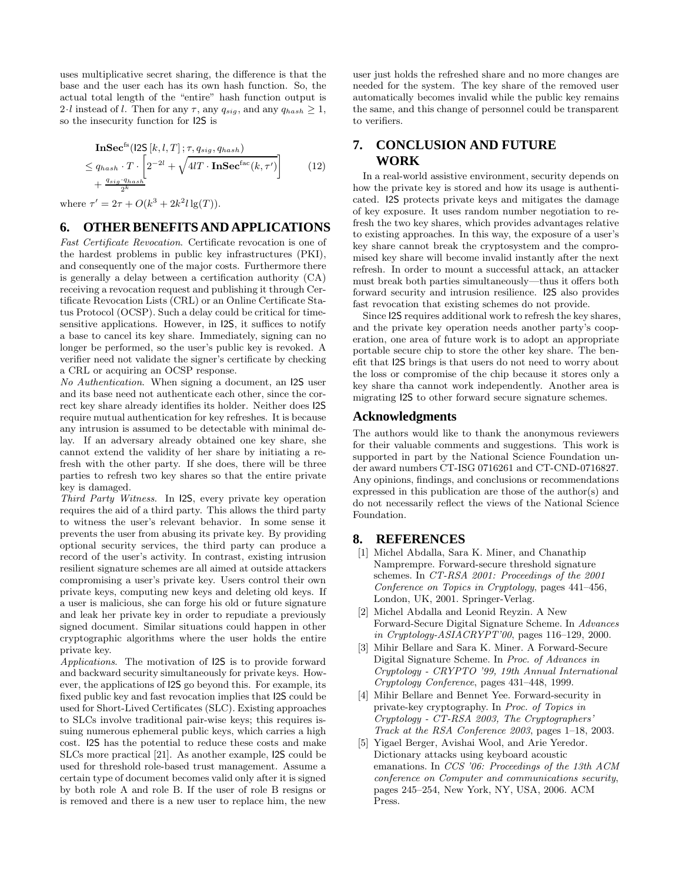uses multiplicative secret sharing, the difference is that the base and the user each has its own hash function. So, the actual total length of the "entire" hash function output is 2·l instead of l. Then for any  $\tau$ , any  $q_{sig}$ , and any  $q_{hash} \geq 1$ , so the insecurity function for I2S is

$$
\mathbf{InSec}^{\text{fs}}(\text{12S}[k, l, T]; \tau, q_{sig}, q_{hash})
$$
  
\n
$$
\leq q_{hash} \cdot T \cdot \left[ 2^{-2l} + \sqrt{4lT \cdot \mathbf{InSec}^{\text{fac}}(k, \tau')} \right]
$$
  
\n
$$
+ \frac{q_{sig} \cdot q_{hash}}{2^{k}}
$$
 (12)

where  $\tau' = 2\tau + O(k^3 + 2k^2 l \lg(T)).$ 

## **6. OTHER BENEFITS AND APPLICATIONS**

Fast Certificate Revocation. Certificate revocation is one of the hardest problems in public key infrastructures (PKI), and consequently one of the major costs. Furthermore there is generally a delay between a certification authority (CA) receiving a revocation request and publishing it through Certificate Revocation Lists (CRL) or an Online Certificate Status Protocol (OCSP). Such a delay could be critical for timesensitive applications. However, in I2S, it suffices to notify a base to cancel its key share. Immediately, signing can no longer be performed, so the user's public key is revoked. A verifier need not validate the signer's certificate by checking a CRL or acquiring an OCSP response.

No Authentication. When signing a document, an I2S user and its base need not authenticate each other, since the correct key share already identifies its holder. Neither does I2S require mutual authentication for key refreshes. It is because any intrusion is assumed to be detectable with minimal delay. If an adversary already obtained one key share, she cannot extend the validity of her share by initiating a refresh with the other party. If she does, there will be three parties to refresh two key shares so that the entire private key is damaged.

Third Party Witness. In I2S, every private key operation requires the aid of a third party. This allows the third party to witness the user's relevant behavior. In some sense it prevents the user from abusing its private key. By providing optional security services, the third party can produce a record of the user's activity. In contrast, existing intrusion resilient signature schemes are all aimed at outside attackers compromising a user's private key. Users control their own private keys, computing new keys and deleting old keys. If a user is malicious, she can forge his old or future signature and leak her private key in order to repudiate a previously signed document. Similar situations could happen in other cryptographic algorithms where the user holds the entire private key.

Applications. The motivation of I2S is to provide forward and backward security simultaneously for private keys. However, the applications of I2S go beyond this. For example, its fixed public key and fast revocation implies that I2S could be used for Short-Lived Certificates (SLC). Existing approaches to SLCs involve traditional pair-wise keys; this requires issuing numerous ephemeral public keys, which carries a high cost. I2S has the potential to reduce these costs and make SLCs more practical [21]. As another example, I2S could be used for threshold role-based trust management. Assume a certain type of document becomes valid only after it is signed by both role A and role B. If the user of role B resigns or is removed and there is a new user to replace him, the new

user just holds the refreshed share and no more changes are needed for the system. The key share of the removed user automatically becomes invalid while the public key remains the same, and this change of personnel could be transparent to verifiers.

# **7. CONCLUSION AND FUTURE WORK**

In a real-world assistive environment, security depends on how the private key is stored and how its usage is authenticated. I2S protects private keys and mitigates the damage of key exposure. It uses random number negotiation to refresh the two key shares, which provides advantages relative to existing approaches. In this way, the exposure of a user's key share cannot break the cryptosystem and the compromised key share will become invalid instantly after the next refresh. In order to mount a successful attack, an attacker must break both parties simultaneously—thus it offers both forward security and intrusion resilience. I2S also provides fast revocation that existing schemes do not provide.

Since I2S requires additional work to refresh the key shares, and the private key operation needs another party's cooperation, one area of future work is to adopt an appropriate portable secure chip to store the other key share. The benefit that I2S brings is that users do not need to worry about the loss or compromise of the chip because it stores only a key share tha cannot work independently. Another area is migrating I2S to other forward secure signature schemes.

#### **Acknowledgments**

The authors would like to thank the anonymous reviewers for their valuable comments and suggestions. This work is supported in part by the National Science Foundation under award numbers CT-ISG 0716261 and CT-CND-0716827. Any opinions, findings, and conclusions or recommendations expressed in this publication are those of the author(s) and do not necessarily reflect the views of the National Science Foundation.

## **8. REFERENCES**

- [1] Michel Abdalla, Sara K. Miner, and Chanathip Namprempre. Forward-secure threshold signature schemes. In CT-RSA 2001: Proceedings of the 2001 Conference on Topics in Cryptology, pages 441–456, London, UK, 2001. Springer-Verlag.
- [2] Michel Abdalla and Leonid Reyzin. A New Forward-Secure Digital Signature Scheme. In Advances in Cryptology-ASIACRYPT'00, pages 116–129, 2000.
- [3] Mihir Bellare and Sara K. Miner. A Forward-Secure Digital Signature Scheme. In Proc. of Advances in Cryptology - CRYPTO '99, 19th Annual International Cryptology Conference, pages 431–448, 1999.
- [4] Mihir Bellare and Bennet Yee. Forward-security in private-key cryptography. In Proc. of Topics in Cryptology - CT-RSA 2003, The Cryptographers' Track at the RSA Conference 2003, pages 1–18, 2003.
- [5] Yigael Berger, Avishai Wool, and Arie Yeredor. Dictionary attacks using keyboard acoustic emanations. In CCS '06: Proceedings of the 13th ACM conference on Computer and communications security, pages 245–254, New York, NY, USA, 2006. ACM Press.